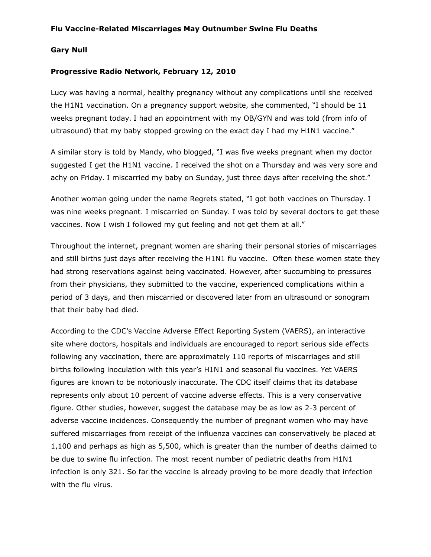## **Gary Null**

## **Progressive Radio Network, February 12, 2010**

Lucy was having a normal, healthy pregnancy without any complications until she received the H1N1 vaccination. On a pregnancy support website, she commented, "I should be 11 weeks pregnant today. I had an appointment with my OB/GYN and was told (from info of ultrasound) that my baby stopped growing on the exact day I had my H1N1 vaccine."

A similar story is told by Mandy, who blogged, "I was five weeks pregnant when my doctor suggested I get the H1N1 vaccine. I received the shot on a Thursday and was very sore and achy on Friday. I miscarried my baby on Sunday, just three days after receiving the shot."

Another woman going under the name Regrets stated, "I got both vaccines on Thursday. I was nine weeks pregnant. I miscarried on Sunday. I was told by several doctors to get these vaccines. Now I wish I followed my gut feeling and not get them at all."

Throughout the internet, pregnant women are sharing their personal stories of miscarriages and still births just days after receiving the H1N1 flu vaccine. Often these women state they had strong reservations against being vaccinated. However, after succumbing to pressures from their physicians, they submitted to the vaccine, experienced complications within a period of 3 days, and then miscarried or discovered later from an ultrasound or sonogram that their baby had died.

According to the CDC's Vaccine Adverse Effect Reporting System (VAERS), an interactive site where doctors, hospitals and individuals are encouraged to report serious side effects following any vaccination, there are approximately 110 reports of miscarriages and still births following inoculation with this year's H1N1 and seasonal flu vaccines. Yet VAERS figures are known to be notoriously inaccurate. The CDC itself claims that its database represents only about 10 percent of vaccine adverse effects. This is a very conservative figure. Other studies, however, suggest the database may be as low as 2-3 percent of adverse vaccine incidences. Consequently the number of pregnant women who may have suffered miscarriages from receipt of the influenza vaccines can conservatively be placed at 1,100 and perhaps as high as 5,500, which is greater than the number of deaths claimed to be due to swine flu infection. The most recent number of pediatric deaths from H1N1 infection is only 321. So far the vaccine is already proving to be more deadly that infection with the flu virus.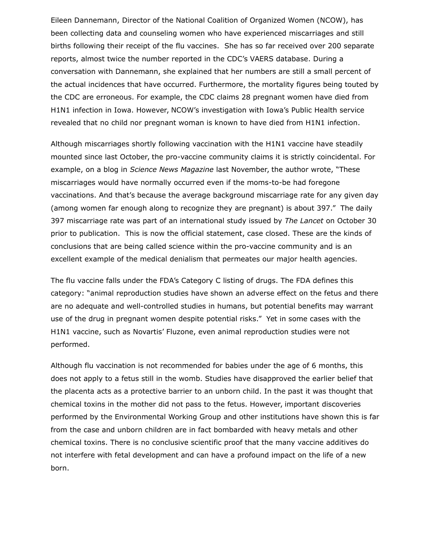Eileen Dannemann, Director of the National Coalition of Organized Women (NCOW), has been collecting data and counseling women who have experienced miscarriages and still births following their receipt of the flu vaccines. She has so far received over 200 separate reports, almost twice the number reported in the CDC's VAERS database. During a conversation with Dannemann, she explained that her numbers are still a small percent of the actual incidences that have occurred. Furthermore, the mortality figures being touted by the CDC are erroneous. For example, the CDC claims 28 pregnant women have died from H1N1 infection in Iowa. However, NCOW's investigation with Iowa's Public Health service revealed that no child nor pregnant woman is known to have died from H1N1 infection.

Although miscarriages shortly following vaccination with the H1N1 vaccine have steadily mounted since last October, the pro-vaccine community claims it is strictly coincidental. For example, on a blog in *Science News Magazine* last November, the author wrote, "These miscarriages would have normally occurred even if the moms-to-be had foregone vaccinations. And that's because the average background miscarriage rate for any given day (among women far enough along to recognize they are pregnant) is about 397." The daily 397 miscarriage rate was part of an international study issued by *The Lancet* on October 30 prior to publication. This is now the official statement, case closed. These are the kinds of conclusions that are being called science within the pro-vaccine community and is an excellent example of the medical denialism that permeates our major health agencies.

The flu vaccine falls under the FDA's Category C listing of drugs. The FDA defines this category: "animal reproduction studies have shown an adverse effect on the fetus and there are no adequate and well-controlled studies in humans, but potential benefits may warrant use of the drug in pregnant women despite potential risks." Yet in some cases with the H1N1 vaccine, such as Novartis' Fluzone, even animal reproduction studies were not performed.

Although flu vaccination is not recommended for babies under the age of 6 months, this does not apply to a fetus still in the womb. Studies have disapproved the earlier belief that the placenta acts as a protective barrier to an unborn child. In the past it was thought that chemical toxins in the mother did not pass to the fetus. However, important discoveries performed by the Environmental Working Group and other institutions have shown this is far from the case and unborn children are in fact bombarded with heavy metals and other chemical toxins. There is no conclusive scientific proof that the many vaccine additives do not interfere with fetal development and can have a profound impact on the life of a new born.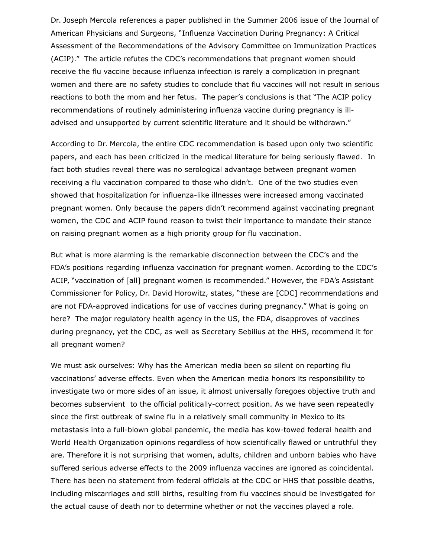Dr. Joseph Mercola references a paper published in the Summer 2006 issue of the Journal of American Physicians and Surgeons, "Influenza Vaccination During Pregnancy: A Critical Assessment of the Recommendations of the Advisory Committee on Immunization Practices (ACIP)." The article refutes the CDC's recommendations that pregnant women should receive the flu vaccine because influenza infeection is rarely a complication in pregnant women and there are no safety studies to conclude that flu vaccines will not result in serious reactions to both the mom and her fetus. The paper's conclusions is that "The ACIP policy recommendations of routinely administering influenza vaccine during pregnancy is illadvised and unsupported by current scientific literature and it should be withdrawn."

According to Dr. Mercola, the entire CDC recommendation is based upon only two scientific papers, and each has been criticized in the medical literature for being seriously flawed. In fact both studies reveal there was no serological advantage between pregnant women receiving a flu vaccination compared to those who didn't. One of the two studies even showed that hospitalization for influenza-like illnesses were increased among vaccinated pregnant women. Only because the papers didn't recommend against vaccinating pregnant women, the CDC and ACIP found reason to twist their importance to mandate their stance on raising pregnant women as a high priority group for flu vaccination.

But what is more alarming is the remarkable disconnection between the CDC's and the FDA's positions regarding influenza vaccination for pregnant women. According to the CDC's ACIP, "vaccination of [all] pregnant women is recommended." However, the FDA's Assistant Commissioner for Policy, Dr. David Horowitz, states, "these are [CDC] recommendations and are not FDA-approved indications for use of vaccines during pregnancy." What is going on here? The major regulatory health agency in the US, the FDA, disapproves of vaccines during pregnancy, yet the CDC, as well as Secretary Sebilius at the HHS, recommend it for all pregnant women?

We must ask ourselves: Why has the American media been so silent on reporting flu vaccinations' adverse effects. Even when the American media honors its responsibility to investigate two or more sides of an issue, it almost universally foregoes objective truth and becomes subservient to the official politically-correct position. As we have seen repeatedly since the first outbreak of swine flu in a relatively small community in Mexico to its metastasis into a full-blown global pandemic, the media has kow-towed federal health and World Health Organization opinions regardless of how scientifically flawed or untruthful they are. Therefore it is not surprising that women, adults, children and unborn babies who have suffered serious adverse effects to the 2009 influenza vaccines are ignored as coincidental. There has been no statement from federal officials at the CDC or HHS that possible deaths, including miscarriages and still births, resulting from flu vaccines should be investigated for the actual cause of death nor to determine whether or not the vaccines played a role.